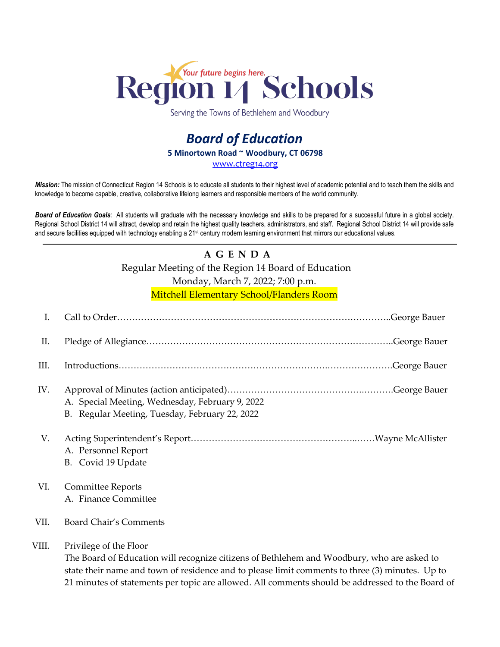

Serving the Towns of Bethlehem and Woodbury

## *Board of Education* **5 Minortown Road ~ Woodbury, CT 06798** [www.ctreg14.org](http://www.ctreg14.org/)

*Mission:* The mission of Connecticut Region 14 Schools is to educate all students to their highest level of academic potential and to teach them the skills and knowledge to become capable, creative, collaborative lifelong learners and responsible members of the world community.

*Board of Education Goals:* All students will graduate with the necessary knowledge and skills to be prepared for a successful future in a global society. Regional School District 14 will attract, develop and retain the highest quality teachers, administrators, and staff. Regional School District 14 will provide safe and secure facilities equipped with technology enabling a 21<sup>st</sup> century modern learning environment that mirrors our educational values.

## **A G E N D A**

Regular Meeting of the Region 14 Board of Education

Monday, March 7, 2022; 7:00 p.m.

Mitchell Elementary School/Flanders Room

| I.    |                                                                                                                                                                                                                                                                                                                             |
|-------|-----------------------------------------------------------------------------------------------------------------------------------------------------------------------------------------------------------------------------------------------------------------------------------------------------------------------------|
| Π.    |                                                                                                                                                                                                                                                                                                                             |
| III.  |                                                                                                                                                                                                                                                                                                                             |
| IV.   | A. Special Meeting, Wednesday, February 9, 2022<br>B. Regular Meeting, Tuesday, February 22, 2022                                                                                                                                                                                                                           |
| V.    | A. Personnel Report<br>B. Covid 19 Update                                                                                                                                                                                                                                                                                   |
| VI.   | <b>Committee Reports</b><br>A. Finance Committee                                                                                                                                                                                                                                                                            |
| VII.  | Board Chair's Comments                                                                                                                                                                                                                                                                                                      |
| VIII. | Privilege of the Floor<br>The Board of Education will recognize citizens of Bethlehem and Woodbury, who are asked to<br>state their name and town of residence and to please limit comments to three (3) minutes. Up to<br>21 minutes of statements per topic are allowed. All comments should be addressed to the Board of |